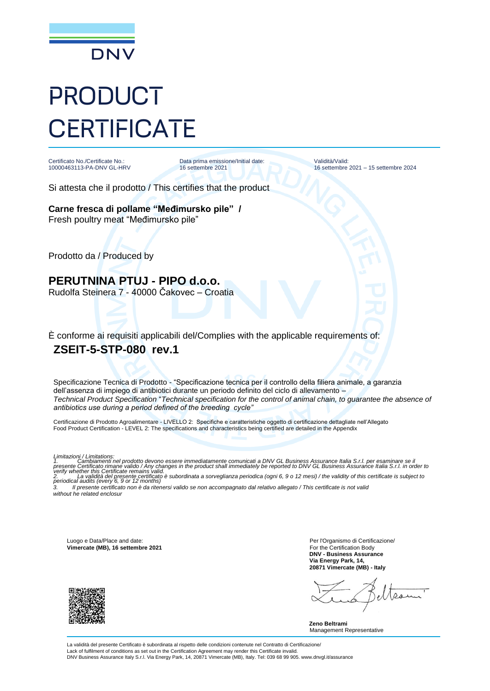

## PRODUCT **CERTIFICATE**

Certificato No./Certificate No.: 10000463113-PA-DNV GL-HRV Data prima emissione/Initial date: 16 settembre 2021

Validità/Valid: 16 settembre 2021 – 15 settembre 2024

Si attesta che il prodotto / This certifies that the product

**Carne fresca di pollame "Međimursko pile" /**  Fresh poultry meat "Međimursko pile"

Prodotto da / Produced by

**PERUTNINA PTUJ - PIPO d.o.o.** Rudolfa Steinera 7 - 40000 Čakovec – Croatia

È conforme ai requisiti applicabili del/Complies with the applicable requirements of: **ZSEIT-5-STP-080 rev.1**

Specificazione Tecnica di Prodotto - "Specificazione tecnica per il controllo della filiera animale, a garanzia dell'assenza di impiego di antibiotici durante un periodo definito del ciclo di allevamento – *Technical Product Specification* "*Technical specification for the control of animal chain, to guarantee the absence of antibiotics use during a period defined of the breeding cycle"*

Certificazione di Prodotto Agroalimentare - LIVELLO 2: Specifiche e caratteristiche oggetto di certificazione dettagliate nell'Allegato Food Product Certification - LEVEL 2: The specifications and characteristics being certified are detailed in the Appendix

Limitazioni / Limitations:<br>1. Cambiamenti nel prodotto devono essere immediatamente comunicati a DNV GL Business Assurance Italia S.r.I. per esaminare se il<br>1. Cambiamenti nel prosente certificato / Any changes

*3. Il presente certificato non è da ritenersi valido se non accompagnato dal relativo allegato / This certificate is not valid without he related enclosur*

Luogo e Data/Place and date: **Vimercate (MB), 16 settembre 2021**

Per l'Organismo di Certificazione/ For the Certification Body **DNV - Business Assurance Via Energy Park, 14, 20871 Vimercate (MB) - Italy**

Ro

**Zeno Beltrami** Management Representative

La validità del presente Certificato è subordinata al rispetto delle condizioni contenute nel Contratto di Certificazione/ Lack of fulfilment of conditions as set out in the Certification Agreement may render this Certificate invalid. DNV Business Assurance Italy S.r.l. Via Energy Park, 14, 20871 Vimercate (MB), Italy. Tel: 039 68 99 905. www.dnvgl.it/assurance